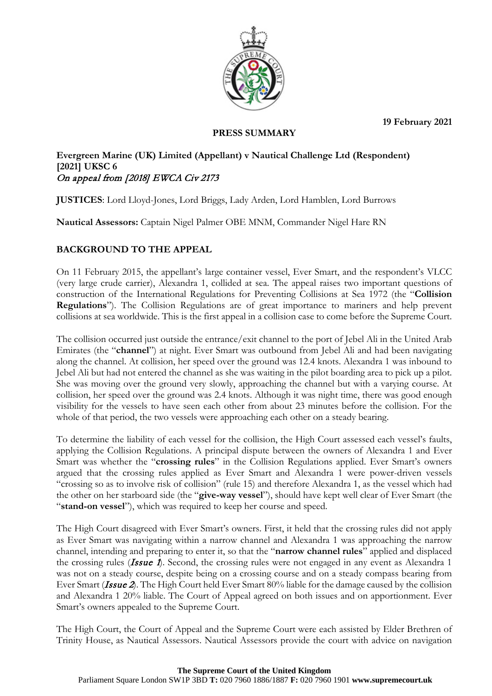**19 February 2021**



## **PRESS SUMMARY**

### **Evergreen Marine (UK) Limited (Appellant) v Nautical Challenge Ltd (Respondent) [2021] UKSC 6** On appeal from [2018] EWCA Civ 2173

**JUSTICES**: Lord Lloyd-Jones, Lord Briggs, Lady Arden, Lord Hamblen, Lord Burrows

**Nautical Assessors:** Captain Nigel Palmer OBE MNM, Commander Nigel Hare RN

# **BACKGROUND TO THE APPEAL**

On 11 February 2015, the appellant's large container vessel, Ever Smart, and the respondent's VLCC (very large crude carrier), Alexandra 1, collided at sea. The appeal raises two important questions of construction of the International Regulations for Preventing Collisions at Sea 1972 (the "**Collision Regulations**"). The Collision Regulations are of great importance to mariners and help prevent collisions at sea worldwide. This is the first appeal in a collision case to come before the Supreme Court.

The collision occurred just outside the entrance/exit channel to the port of Jebel Ali in the United Arab Emirates (the "**channel**") at night. Ever Smart was outbound from Jebel Ali and had been navigating along the channel. At collision, her speed over the ground was 12.4 knots. Alexandra 1 was inbound to Jebel Ali but had not entered the channel as she was waiting in the pilot boarding area to pick up a pilot. She was moving over the ground very slowly, approaching the channel but with a varying course. At collision, her speed over the ground was 2.4 knots. Although it was night time, there was good enough visibility for the vessels to have seen each other from about 23 minutes before the collision. For the whole of that period, the two vessels were approaching each other on a steady bearing.

To determine the liability of each vessel for the collision, the High Court assessed each vessel's faults, applying the Collision Regulations. A principal dispute between the owners of Alexandra 1 and Ever Smart was whether the "**crossing rules**" in the Collision Regulations applied. Ever Smart's owners argued that the crossing rules applied as Ever Smart and Alexandra 1 were power-driven vessels "crossing so as to involve risk of collision" (rule 15) and therefore Alexandra 1, as the vessel which had the other on her starboard side (the "**give-way vessel**"), should have kept well clear of Ever Smart (the "**stand-on vessel**"), which was required to keep her course and speed.

The High Court disagreed with Ever Smart's owners. First, it held that the crossing rules did not apply as Ever Smart was navigating within a narrow channel and Alexandra 1 was approaching the narrow channel, intending and preparing to enter it, so that the "**narrow channel rules**" applied and displaced the crossing rules (*Issue 1*). Second, the crossing rules were not engaged in any event as Alexandra 1 was not on a steady course, despite being on a crossing course and on a steady compass bearing from Ever Smart (Issue 2). The High Court held Ever Smart 80% liable for the damage caused by the collision and Alexandra 1 20% liable. The Court of Appeal agreed on both issues and on apportionment. Ever Smart's owners appealed to the Supreme Court.

The High Court, the Court of Appeal and the Supreme Court were each assisted by Elder Brethren of Trinity House, as Nautical Assessors. Nautical Assessors provide the court with advice on navigation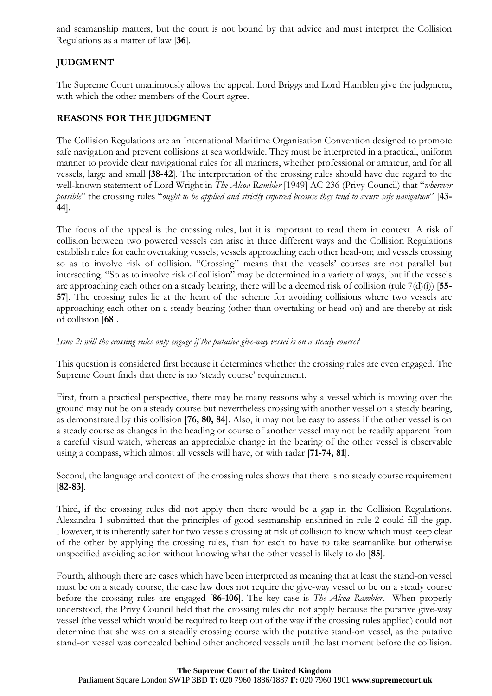and seamanship matters, but the court is not bound by that advice and must interpret the Collision Regulations as a matter of law [**36**].

## **JUDGMENT**

The Supreme Court unanimously allows the appeal. Lord Briggs and Lord Hamblen give the judgment, with which the other members of the Court agree.

## **REASONS FOR THE JUDGMENT**

The Collision Regulations are an International Maritime Organisation Convention designed to promote safe navigation and prevent collisions at sea worldwide. They must be interpreted in a practical, uniform manner to provide clear navigational rules for all mariners, whether professional or amateur, and for all vessels, large and small [**38-42**]. The interpretation of the crossing rules should have due regard to the well-known statement of Lord Wright in *The Alcoa Rambler* [1949] AC 236 (Privy Council) that "*wherever possible*" the crossing rules "*ought to be applied and strictly enforced because they tend to secure safe navigation*" [**43- 44**].

The focus of the appeal is the crossing rules, but it is important to read them in context. A risk of collision between two powered vessels can arise in three different ways and the Collision Regulations establish rules for each: overtaking vessels; vessels approaching each other head-on; and vessels crossing so as to involve risk of collision. "Crossing" means that the vessels' courses are not parallel but intersecting. "So as to involve risk of collision" may be determined in a variety of ways, but if the vessels are approaching each other on a steady bearing, there will be a deemed risk of collision (rule 7(d)(i)) [**55- 57**]. The crossing rules lie at the heart of the scheme for avoiding collisions where two vessels are approaching each other on a steady bearing (other than overtaking or head-on) and are thereby at risk of collision [**68**].

## *Issue 2: will the crossing rules only engage if the putative give-way vessel is on a steady course?*

This question is considered first because it determines whether the crossing rules are even engaged. The Supreme Court finds that there is no 'steady course' requirement.

First, from a practical perspective, there may be many reasons why a vessel which is moving over the ground may not be on a steady course but nevertheless crossing with another vessel on a steady bearing, as demonstrated by this collision [**76, 80, 84**]. Also, it may not be easy to assess if the other vessel is on a steady course as changes in the heading or course of another vessel may not be readily apparent from a careful visual watch, whereas an appreciable change in the bearing of the other vessel is observable using a compass, which almost all vessels will have, or with radar [**71-74, 81**].

Second, the language and context of the crossing rules shows that there is no steady course requirement [**82-83**].

Third, if the crossing rules did not apply then there would be a gap in the Collision Regulations. Alexandra 1 submitted that the principles of good seamanship enshrined in rule 2 could fill the gap. However, it is inherently safer for two vessels crossing at risk of collision to know which must keep clear of the other by applying the crossing rules, than for each to have to take seamanlike but otherwise unspecified avoiding action without knowing what the other vessel is likely to do [**85**].

Fourth, although there are cases which have been interpreted as meaning that at least the stand-on vessel must be on a steady course, the case law does not require the give-way vessel to be on a steady course before the crossing rules are engaged [**86-106**]. The key case is *The Alcoa Rambler*. When properly understood, the Privy Council held that the crossing rules did not apply because the putative give-way vessel (the vessel which would be required to keep out of the way if the crossing rules applied) could not determine that she was on a steadily crossing course with the putative stand-on vessel, as the putative stand-on vessel was concealed behind other anchored vessels until the last moment before the collision.

#### **The Supreme Court of the United Kingdom**

Parliament Square London SW1P 3BD **T:** 020 7960 1886/1887 **F:** 020 7960 1901 **www.supremecourt.uk**